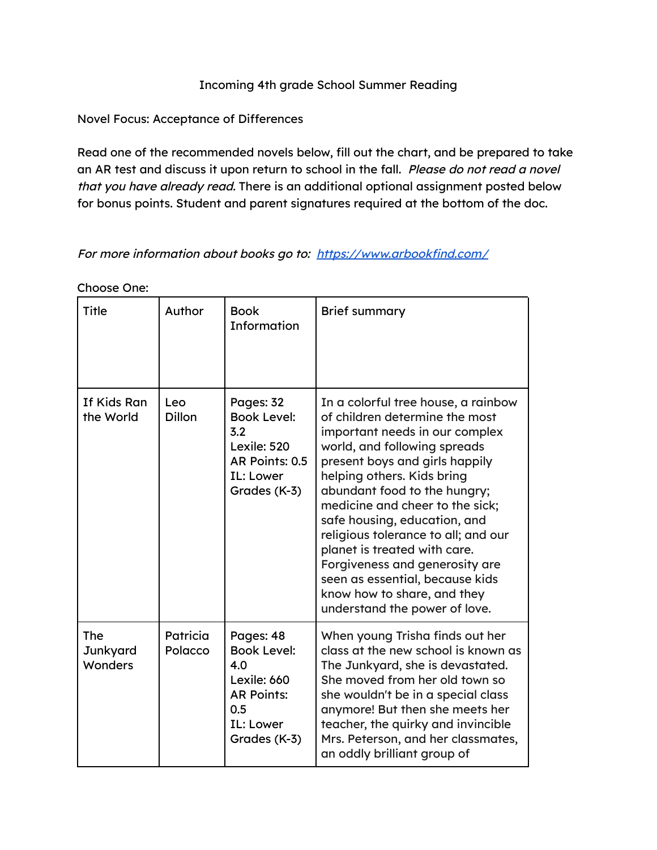## Incoming 4th grade School Summer Reading

Novel Focus: Acceptance of Differences

Read one of the recommended novels below, fill out the chart, and be prepared to take an AR test and discuss it upon return to school in the fall. Please do not read a novel that you have already read. There is an additional optional assignment posted below for bonus points. Student and parent signatures required at the bottom of the doc.

For more information about books go to: <https://www.arbookfind.com/>

| Title                             | Author               | <b>Book</b><br><b>Information</b>                                                                              | <b>Brief summary</b>                                                                                                                                                                                                                                                                                                                                                                                                                                                                                                   |
|-----------------------------------|----------------------|----------------------------------------------------------------------------------------------------------------|------------------------------------------------------------------------------------------------------------------------------------------------------------------------------------------------------------------------------------------------------------------------------------------------------------------------------------------------------------------------------------------------------------------------------------------------------------------------------------------------------------------------|
| If Kids Ran<br>the World          | Leo<br><b>Dillon</b> | Pages: 32<br><b>Book Level:</b><br>3.2<br>Lexile: 520<br>AR Points: 0.5<br>IL: Lower<br>Grades (K-3)           | In a colorful tree house, a rainbow<br>of children determine the most<br>important needs in our complex<br>world, and following spreads<br>present boys and girls happily<br>helping others. Kids bring<br>abundant food to the hungry;<br>medicine and cheer to the sick;<br>safe housing, education, and<br>religious tolerance to all; and our<br>planet is treated with care.<br>Forgiveness and generosity are<br>seen as essential, because kids<br>know how to share, and they<br>understand the power of love. |
| <b>The</b><br>Junkyard<br>Wonders | Patricia<br>Polacco  | Pages: 48<br><b>Book Level:</b><br>4.0<br>Lexile: 660<br><b>AR Points:</b><br>0.5<br>IL: Lower<br>Grades (K-3) | When young Trisha finds out her<br>class at the new school is known as<br>The Junkyard, she is devastated.<br>She moved from her old town so<br>she wouldn't be in a special class<br>anymore! But then she meets her<br>teacher, the quirky and invincible<br>Mrs. Peterson, and her classmates,<br>an oddly brilliant group of                                                                                                                                                                                       |

Choose One: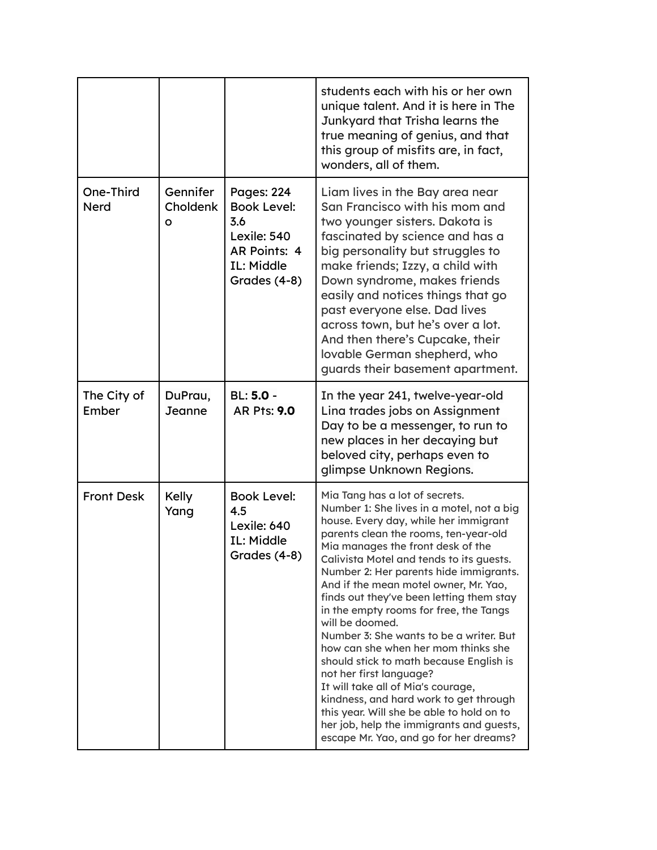|                          |                           |                                                                                                                           | students each with his or her own<br>unique talent. And it is here in The<br>Junkyard that Trisha learns the<br>true meaning of genius, and that<br>this group of misfits are, in fact,<br>wonders, all of them.                                                                                                                                                                                                                                                                                                                                                                                                                                                                                                                                                                                                      |
|--------------------------|---------------------------|---------------------------------------------------------------------------------------------------------------------------|-----------------------------------------------------------------------------------------------------------------------------------------------------------------------------------------------------------------------------------------------------------------------------------------------------------------------------------------------------------------------------------------------------------------------------------------------------------------------------------------------------------------------------------------------------------------------------------------------------------------------------------------------------------------------------------------------------------------------------------------------------------------------------------------------------------------------|
| One-Third<br><b>Nerd</b> | Gennifer<br>Choldenk<br>O | <b>Pages: 224</b><br><b>Book Level:</b><br>3.6<br>Lexile: 540<br><b>AR Points: 4</b><br><b>IL: Middle</b><br>Grades (4-8) | Liam lives in the Bay area near<br>San Francisco with his mom and<br>two younger sisters. Dakota is<br>fascinated by science and has a<br>big personality but struggles to<br>make friends; Izzy, a child with<br>Down syndrome, makes friends<br>easily and notices things that go<br>past everyone else. Dad lives<br>across town, but he's over a lot.<br>And then there's Cupcake, their<br>lovable German shepherd, who<br>guards their basement apartment.                                                                                                                                                                                                                                                                                                                                                      |
| The City of<br>Ember     | DuPrau,<br>Jeanne         | <b>BL: 5.0 -</b><br><b>AR Pts: 9.0</b>                                                                                    | In the year 241, twelve-year-old<br>Lina trades jobs on Assignment<br>Day to be a messenger, to run to<br>new places in her decaying but<br>beloved city, perhaps even to<br>glimpse Unknown Regions.                                                                                                                                                                                                                                                                                                                                                                                                                                                                                                                                                                                                                 |
| <b>Front Desk</b>        | Kelly<br>Yang             | <b>Book Level:</b><br>4.5<br>Lexile: 640<br><b>IL: Middle</b><br>Grades (4-8)                                             | Mia Tang has a lot of secrets.<br>Number 1: She lives in a motel, not a big<br>house. Every day, while her immigrant<br>parents clean the rooms, ten-year-old<br>Mia manages the front desk of the<br>Calivista Motel and tends to its guests.<br>Number 2: Her parents hide immigrants.<br>And if the mean motel owner, Mr. Yao,<br>finds out they've been letting them stay<br>in the empty rooms for free, the Tangs<br>will be doomed.<br>Number 3: She wants to be a writer. But<br>how can she when her mom thinks she<br>should stick to math because English is<br>not her first language?<br>It will take all of Mia's courage,<br>kindness, and hard work to get through<br>this year. Will she be able to hold on to<br>her job, help the immigrants and guests,<br>escape Mr. Yao, and go for her dreams? |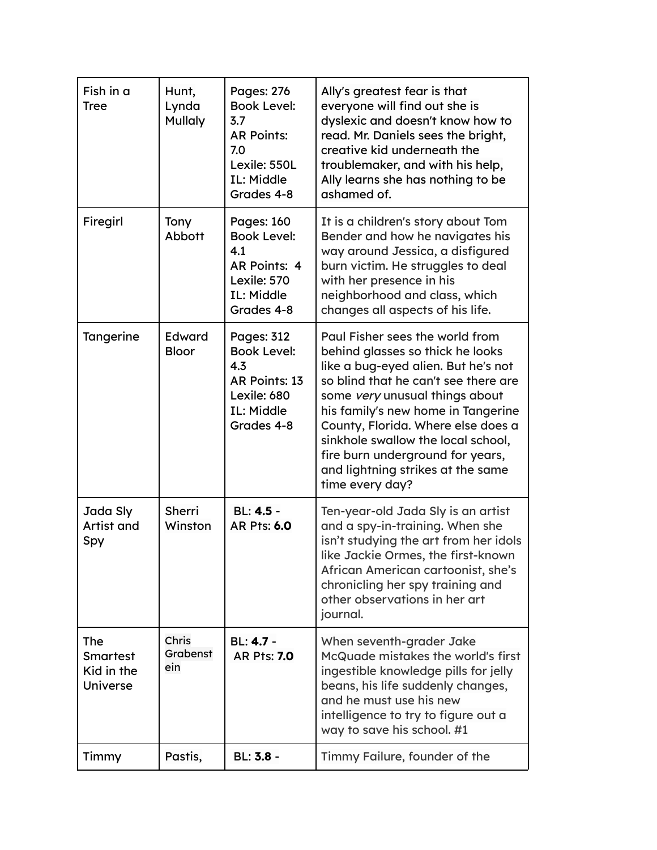| Fish in a<br><b>Tree</b>                                | Hunt,<br>Lynda<br><b>Mullaly</b> | <b>Pages: 276</b><br><b>Book Level:</b><br>3.7<br><b>AR Points:</b><br>7.0<br>Lexile: 550L<br>IL: Middle<br>Grades 4-8  | Ally's greatest fear is that<br>everyone will find out she is<br>dyslexic and doesn't know how to<br>read. Mr. Daniels sees the bright,<br>creative kid underneath the<br>troublemaker, and with his help,<br>Ally learns she has nothing to be<br>ashamed of.                                                                                                                                     |
|---------------------------------------------------------|----------------------------------|-------------------------------------------------------------------------------------------------------------------------|----------------------------------------------------------------------------------------------------------------------------------------------------------------------------------------------------------------------------------------------------------------------------------------------------------------------------------------------------------------------------------------------------|
| Firegirl                                                | Tony<br>Abbott                   | <b>Pages: 160</b><br><b>Book Level:</b><br>4.1<br><b>AR Points: 4</b><br>Lexile: 570<br><b>IL: Middle</b><br>Grades 4-8 | It is a children's story about Tom<br>Bender and how he navigates his<br>way around Jessica, a disfigured<br>burn victim. He struggles to deal<br>with her presence in his<br>neighborhood and class, which<br>changes all aspects of his life.                                                                                                                                                    |
| Tangerine                                               | <b>Edward</b><br><b>Bloor</b>    | <b>Pages: 312</b><br><b>Book Level:</b><br>4.3<br><b>AR Points: 13</b><br>Lexile: 680<br>IL: Middle<br>Grades 4-8       | Paul Fisher sees the world from<br>behind glasses so thick he looks<br>like a bug-eyed alien. But he's not<br>so blind that he can't see there are<br>some very unusual things about<br>his family's new home in Tangerine<br>County, Florida. Where else does a<br>sinkhole swallow the local school,<br>fire burn underground for years,<br>and lightning strikes at the same<br>time every day? |
| Jada Sly<br>Artist and<br>Spy                           | <b>Sherri</b><br>Winston         | BL: 4.5 -<br><b>AR Pts: 6.0</b>                                                                                         | Ten-year-old Jada Sly is an artist<br>and a spy-in-training. When she<br>isn't studying the art from her idols<br>like Jackie Ormes, the first-known<br>African American cartoonist, she's<br>chronicling her spy training and<br>other observations in her art<br>journal.                                                                                                                        |
| <b>The</b><br><b>Smartest</b><br>Kid in the<br>Universe | Chris<br>Grabenst<br>ein         | <b>BL: 4.7 -</b><br><b>AR Pts: 7.0</b>                                                                                  | When seventh-grader Jake<br>McQuade mistakes the world's first<br>ingestible knowledge pills for jelly<br>beans, his life suddenly changes,<br>and he must use his new<br>intelligence to try to figure out a<br>way to save his school. #1                                                                                                                                                        |
| Timmy                                                   | Pastis,                          | BL: 3.8 -                                                                                                               | Timmy Failure, founder of the                                                                                                                                                                                                                                                                                                                                                                      |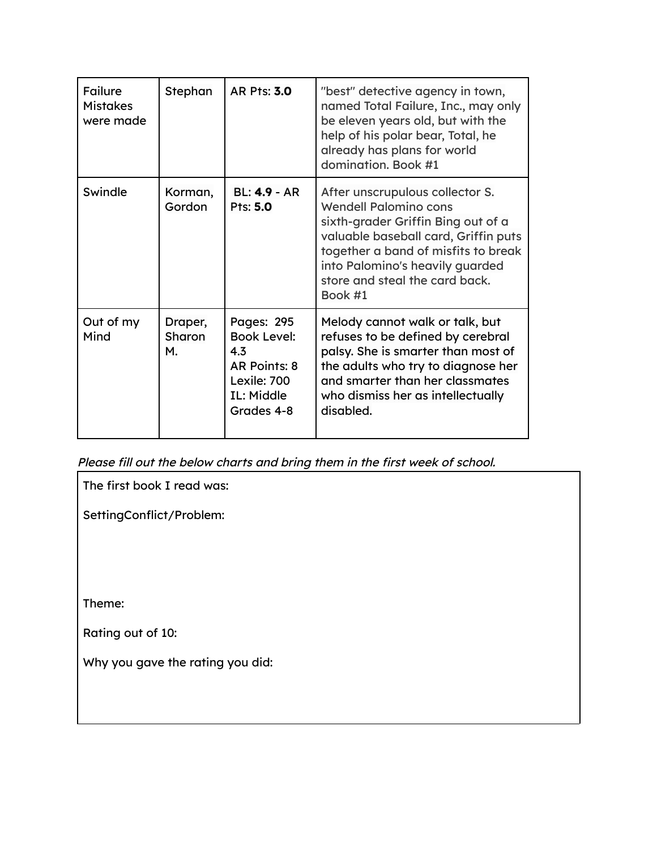| Failure<br><b>Mistakes</b><br>were made | Stephan                 | <b>AR Pts: 3.0</b>                                                                                               | "best" detective agency in town,<br>named Total Failure, Inc., may only<br>be eleven years old, but with the<br>help of his polar bear, Total, he<br>already has plans for world<br>domination. Book #1                                                              |
|-----------------------------------------|-------------------------|------------------------------------------------------------------------------------------------------------------|----------------------------------------------------------------------------------------------------------------------------------------------------------------------------------------------------------------------------------------------------------------------|
| Swindle                                 | Korman,<br>Gordon       | <b>BL: 4.9 - AR</b><br>Pts: 5.0                                                                                  | After unscrupulous collector S.<br><b>Wendell Palomino cons</b><br>sixth-grader Griffin Bing out of a<br>valuable baseball card, Griffin puts<br>together a band of misfits to break<br>into Palomino's heavily guarded<br>store and steal the card back.<br>Book #1 |
| Out of my<br>Mind                       | Draper,<br>Sharon<br>М. | <b>Pages: 295</b><br><b>Book Level:</b><br>4.3<br>AR Points: 8<br>Lexile: 700<br><b>IL: Middle</b><br>Grades 4-8 | Melody cannot walk or talk, but<br>refuses to be defined by cerebral<br>palsy. She is smarter than most of<br>the adults who try to diagnose her<br>and smarter than her classmates<br>who dismiss her as intellectually<br>disabled.                                |

Please fill out the below charts and bring them in the first week of school.

The first book I read was:

SettingConflict/Problem:

Theme:

Rating out of 10:

Why you gave the rating you did: